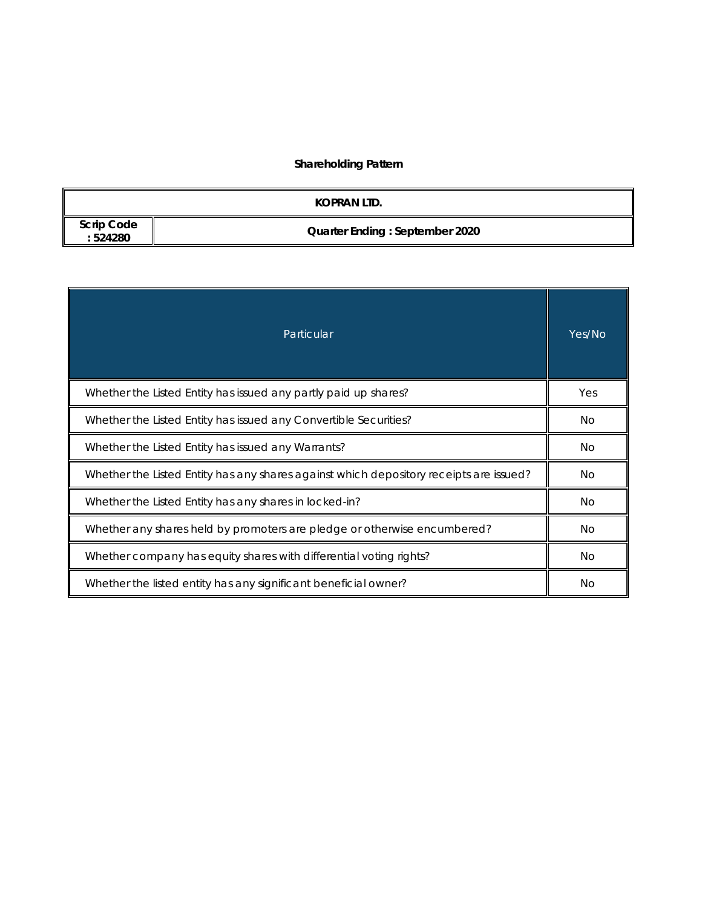# **Shareholding Pattern**

|                              | KOPRAN LTD.                           |
|------------------------------|---------------------------------------|
| <b>Scrip Code</b><br>:524280 | <b>Quarter Ending: September 2020</b> |

| Particular                                                                             | Yes/No |  |  |  |  |
|----------------------------------------------------------------------------------------|--------|--|--|--|--|
| Whether the Listed Entity has issued any partly paid up shares?                        | Yes    |  |  |  |  |
| Whether the Listed Entity has issued any Convertible Securities?                       | No.    |  |  |  |  |
| Whether the Listed Entity has issued any Warrants?                                     |        |  |  |  |  |
| Whether the Listed Entity has any shares against which depository receipts are issued? |        |  |  |  |  |
| Whether the Listed Entity has any shares in locked-in?                                 | No.    |  |  |  |  |
| Whether any shares held by promoters are pledge or otherwise encumbered?               |        |  |  |  |  |
| Whether company has equity shares with differential voting rights?                     | No.    |  |  |  |  |
| Whether the listed entity has any significant beneficial owner?                        | Νo     |  |  |  |  |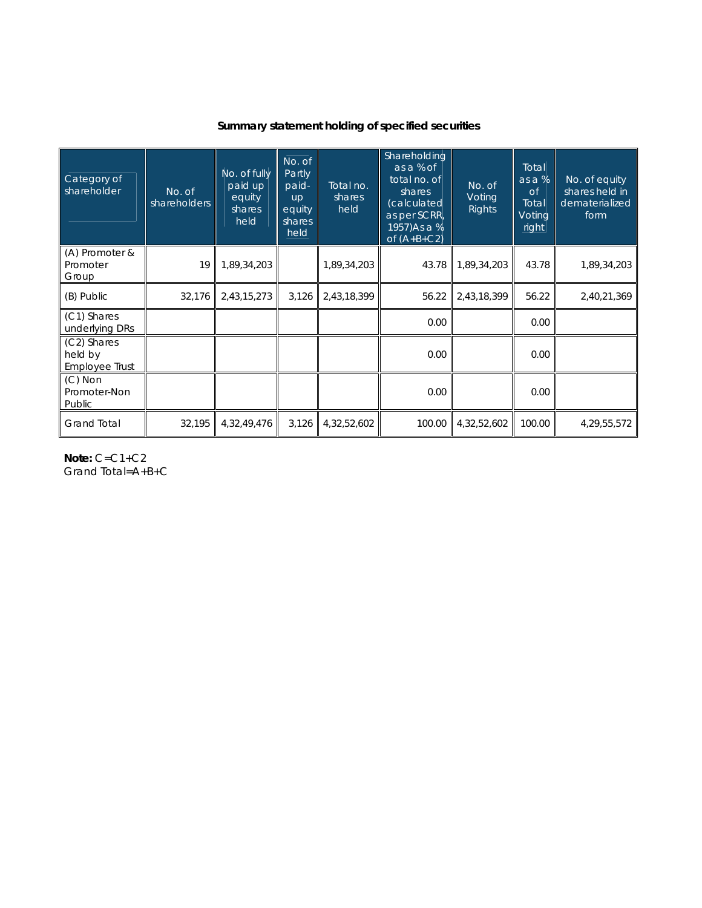# **Summary statement holding of specified securities**

| Category of<br>shareholder               | No. of<br>shareholders | No. of fully<br>paid up<br>equity<br>shares<br>held | No. of<br>Partly<br>paid-<br><b>up</b><br>equity<br>shares<br>held | Total no.<br>shares<br>held | Shareholding<br>as a % of<br>total no. of<br>shares<br>(calculated<br>as per SCRR,<br>1957) As a %<br>of $(A+B+C2)$ | No. of<br>Voting<br>Rights | Total<br>as a %<br>$\overline{C}$<br>Total<br>Voting<br>right | No. of equity<br>shares held in<br>dematerialized<br>form |
|------------------------------------------|------------------------|-----------------------------------------------------|--------------------------------------------------------------------|-----------------------------|---------------------------------------------------------------------------------------------------------------------|----------------------------|---------------------------------------------------------------|-----------------------------------------------------------|
| (A) Promoter &<br>Promoter<br>Group      | 19                     | 1,89,34,203                                         |                                                                    | 1,89,34,203                 | 43.78                                                                                                               | 1,89,34,203                | 43.78                                                         | 1,89,34,203                                               |
| (B) Public                               | 32,176                 | 2,43,15,273                                         | 3,126                                                              | 2,43,18,399                 | 56.22                                                                                                               | 2,43,18,399                | 56.22                                                         | 2,40,21,369                                               |
| (C1) Shares<br>underlying DRs            |                        |                                                     |                                                                    |                             | 0.00                                                                                                                |                            | 0.00                                                          |                                                           |
| (C2) Shares<br>held by<br>Employee Trust |                        |                                                     |                                                                    |                             | 0.00                                                                                                                |                            | 0.00                                                          |                                                           |
| $(C)$ Non<br>Promoter-Non<br>Public      |                        |                                                     |                                                                    |                             | 0.00                                                                                                                |                            | 0.00                                                          |                                                           |
| <b>Grand Total</b>                       | 32,195                 | 4,32,49,476                                         | 3,126                                                              | 4,32,52,602                 | 100.00                                                                                                              | 4,32,52,602                | 100.00                                                        | 4,29,55,572                                               |

**Note:** C=C1+C2 Grand Total=A+B+C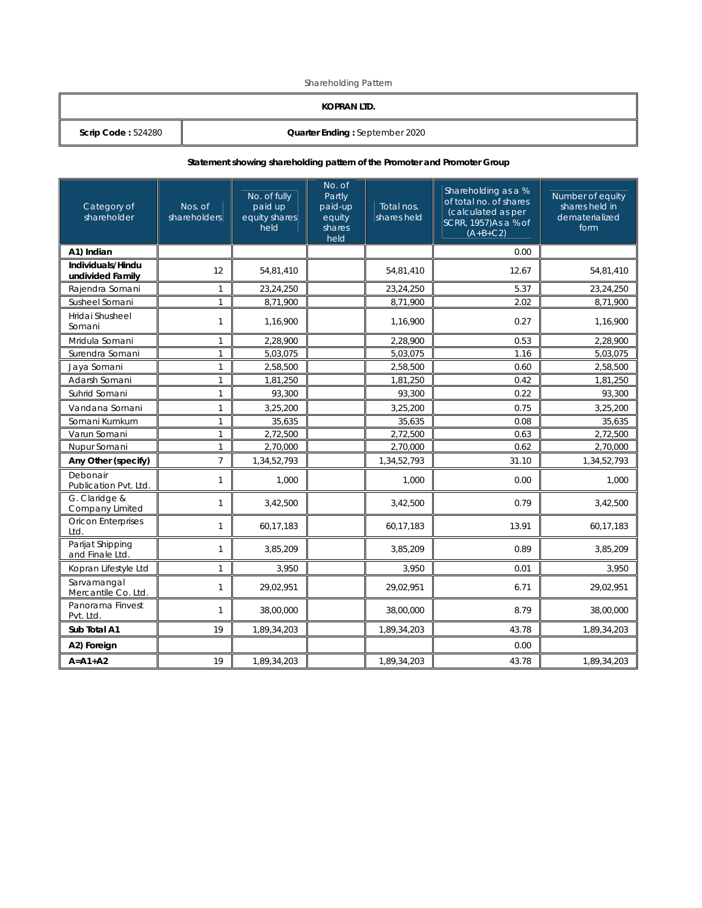Shareholding Pattern

## **KOPRAN LTD.**

**Scrip Code :** 524280 **COLLET II Quarter Ending :** September 2020

#### **Statement showing shareholding pattern of the Promoter and Promoter Group**

| Category of<br>shareholder            | Nos. of<br>shareholders | No. of fully<br>paid up<br>equity shares<br>held | No. of<br>Partly<br>paid-up<br>equity<br>shares<br>held | Total nos.<br>shares held | Shareholding as a %<br>of total no. of shares<br>(calculated as per<br>SCRR, 1957)As a % of<br>$(A+B+C2)$ | Number of equity<br>shares held in<br>dematerialized<br>form |
|---------------------------------------|-------------------------|--------------------------------------------------|---------------------------------------------------------|---------------------------|-----------------------------------------------------------------------------------------------------------|--------------------------------------------------------------|
| A1) Indian                            |                         |                                                  |                                                         |                           | 0.00                                                                                                      |                                                              |
| Individuals/Hindu<br>undivided Family | 12                      | 54,81,410                                        |                                                         | 54,81,410                 | 12.67                                                                                                     | 54,81,410                                                    |
| Rajendra Somani                       | $\mathbf{1}$            | 23,24,250                                        |                                                         | 23,24,250                 | 5.37                                                                                                      | 23,24,250                                                    |
| Susheel Somani                        | $\mathbf{1}$            | 8,71,900                                         |                                                         | 8,71,900                  | 2.02                                                                                                      | 8,71,900                                                     |
| Hridai Shusheel<br>Somani             | $\mathbf{1}$            | 1,16,900                                         |                                                         | 1,16,900                  | 0.27                                                                                                      | 1,16,900                                                     |
| Mridula Somani                        | $\mathbf{1}$            | 2,28,900                                         |                                                         | 2,28,900                  | 0.53                                                                                                      | 2,28,900                                                     |
| Surendra Somani                       | $\mathbf{1}$            | 5,03,075                                         |                                                         | 5,03,075                  | 1.16                                                                                                      | 5,03,075                                                     |
| Jaya Somani                           | $\mathbf{1}$            | 2,58,500                                         |                                                         | 2,58,500                  | 0.60                                                                                                      | 2,58,500                                                     |
| Adarsh Somani                         | $\mathbf{1}$            | 1,81,250                                         |                                                         | 1,81,250                  | 0.42                                                                                                      | 1,81,250                                                     |
| Suhrid Somani                         | $\mathbf{1}$            | 93,300                                           |                                                         | 93,300                    | 0.22                                                                                                      | 93,300                                                       |
| Vandana Somani                        | $\mathbf{1}$            | 3,25,200                                         |                                                         | 3,25,200                  | 0.75                                                                                                      | 3,25,200                                                     |
| Somani Kumkum                         | $\mathbf{1}$            | 35,635                                           |                                                         | 35,635                    | 0.08                                                                                                      | 35,635                                                       |
| Varun Somani                          | $\mathbf{1}$            | 2,72,500                                         |                                                         | 2,72,500                  | 0.63                                                                                                      | 2,72,500                                                     |
| Nupur Somani                          | $\mathbf{1}$            | 2,70,000                                         |                                                         | 2,70,000                  | 0.62                                                                                                      | 2,70,000                                                     |
| Any Other (specify)                   | $\overline{7}$          | 1,34,52,793                                      |                                                         | 1,34,52,793               | 31.10                                                                                                     | 1,34,52,793                                                  |
| Debonair<br>Publication Pvt. Ltd.     | $\mathbf{1}$            | 1,000                                            |                                                         | 1,000                     | 0.00                                                                                                      | 1,000                                                        |
| G. Claridge &<br>Company Limited      | $\mathbf{1}$            | 3,42,500                                         |                                                         | 3,42,500                  | 0.79                                                                                                      | 3,42,500                                                     |
| <b>Oricon Enterprises</b><br>Ltd.     | $\mathbf{1}$            | 60,17,183                                        |                                                         | 60,17,183                 | 13.91                                                                                                     | 60,17,183                                                    |
| Parijat Shipping<br>and Finale Ltd.   | $\mathbf{1}$            | 3,85,209                                         |                                                         | 3,85,209                  | 0.89                                                                                                      | 3,85,209                                                     |
| Kopran Lifestyle Ltd                  | $\mathbf{1}$            | 3,950                                            |                                                         | 3,950                     | 0.01                                                                                                      | 3,950                                                        |
| Sarvamangal<br>Mercantile Co. Ltd.    | $\mathbf{1}$            | 29,02,951                                        |                                                         | 29,02,951                 | 6.71                                                                                                      | 29,02,951                                                    |
| Panorama Finvest<br>Pvt. Ltd.         | $\mathbf{1}$            | 38,00,000                                        |                                                         | 38,00,000                 | 8.79                                                                                                      | 38,00,000                                                    |
| Sub Total A1                          | 19                      | 1,89,34,203                                      |                                                         | 1,89,34,203               | 43.78                                                                                                     | 1,89,34,203                                                  |
| A2) Foreign                           |                         |                                                  |                                                         |                           | 0.00                                                                                                      |                                                              |
| $A = A1 + A2$                         | 19                      | 1,89,34,203                                      |                                                         | 1,89,34,203               | 43.78                                                                                                     | 1,89,34,203                                                  |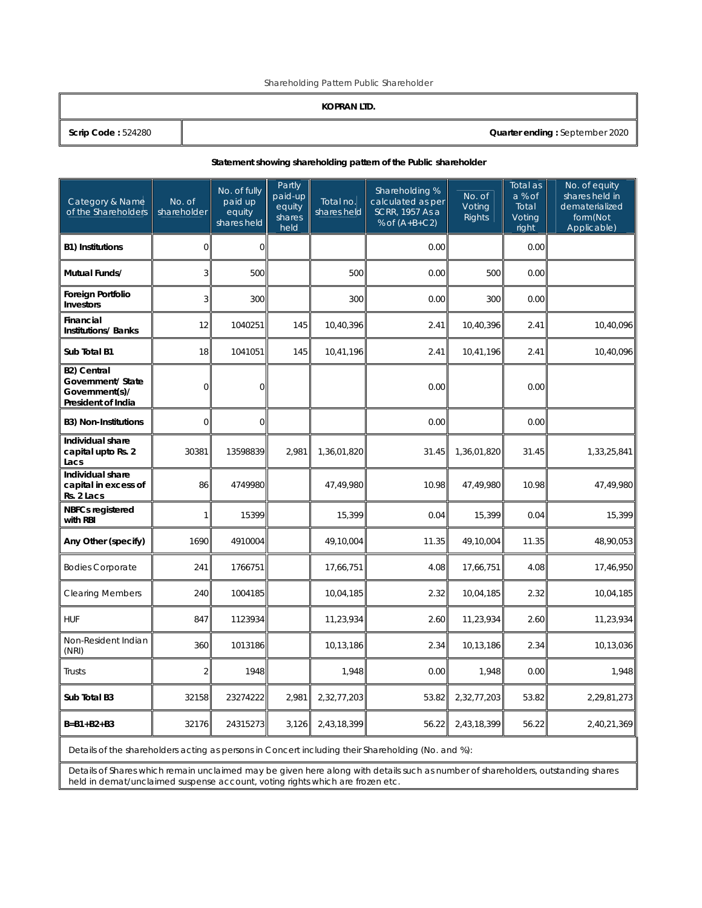Shareholding Pattern Public Shareholder

#### **KOPRAN LTD.**

**Scrip Code :** 524280 **Quarter ending :** September 2020

#### **Statement showing shareholding pattern of the Public shareholder**

| Category & Name<br>of the Shareholders                                          | No. of<br>shareholder | No. of fully<br>paid up<br>equity<br>shares held | Partly<br>paid-up<br>equity<br>shares<br>held | Total no.<br>shares held | Shareholding %<br>calculated as per<br>SCRR, 1957 As a<br>% of $(A+B+C2)$ | No. of<br>Voting<br><b>Rights</b> | Total as<br>a % of<br>Total<br>Voting<br>right | No. of equity<br>shares held in<br>dematerialized<br>form(Not<br>Applicable) |
|---------------------------------------------------------------------------------|-----------------------|--------------------------------------------------|-----------------------------------------------|--------------------------|---------------------------------------------------------------------------|-----------------------------------|------------------------------------------------|------------------------------------------------------------------------------|
| <b>B1) Institutions</b>                                                         | $\overline{0}$        | $\mathbf{O}$                                     |                                               |                          | 0.00                                                                      |                                   | 0.00                                           |                                                                              |
| Mutual Funds/                                                                   | $\overline{3}$        | 500                                              |                                               | 500                      | 0.00                                                                      | 500                               | 0.00                                           |                                                                              |
| Foreign Portfolio<br>Investors                                                  | 3                     | 300                                              |                                               | 300                      | 0.00                                                                      | 300                               | 0.00                                           |                                                                              |
| Financial<br><b>Institutions/Banks</b>                                          | 12                    | 1040251                                          | 145                                           | 10,40,396                | 2.41                                                                      | 10,40,396                         | 2.41                                           | 10,40,096                                                                    |
| Sub Total B1                                                                    | 18                    | 1041051                                          | 145                                           | 10,41,196                | 2.41                                                                      | 10,41,196                         | 2.41                                           | 10,40,096                                                                    |
| <b>B2) Central</b><br>Government/ State<br>Government(s)/<br>President of India | $\overline{0}$        | $\mathbf 0$                                      |                                               |                          | 0.00                                                                      |                                   | 0.00                                           |                                                                              |
| <b>B3) Non-Institutions</b>                                                     | $\mathbf 0$           | $\overline{O}$                                   |                                               |                          | 0.00                                                                      |                                   | 0.00                                           |                                                                              |
| Individual share<br>capital upto Rs. 2<br>Lacs                                  | 30381                 | 13598839                                         | 2.981                                         | 1,36,01,820              | 31.45                                                                     | 1,36,01,820                       | 31.45                                          | 1,33,25,841                                                                  |
| Individual share<br>capital in excess of<br>Rs. 2 Lacs                          | 86                    | 4749980                                          |                                               | 47,49,980                | 10.98                                                                     | 47,49,980                         | 10.98                                          | 47,49,980                                                                    |
| <b>NBFCs registered</b><br>with RBI                                             | $\mathbf{1}$          | 15399                                            |                                               | 15,399                   | 0.04                                                                      | 15,399                            | 0.04                                           | 15,399                                                                       |
| Any Other (specify)                                                             | 1690                  | 4910004                                          |                                               | 49,10,004                | 11.35                                                                     | 49,10,004                         | 11.35                                          | 48,90,053                                                                    |
| <b>Bodies Corporate</b>                                                         | 241                   | 1766751                                          |                                               | 17,66,751                | 4.08                                                                      | 17,66,751                         | 4.08                                           | 17,46,950                                                                    |
| <b>Clearing Members</b>                                                         | 240                   | 1004185                                          |                                               | 10,04,185                | 2.32                                                                      | 10,04,185                         | 2.32                                           | 10,04,185                                                                    |
| <b>HUF</b>                                                                      | 847                   | 1123934                                          |                                               | 11,23,934                | 2.60                                                                      | 11,23,934                         | 2.60                                           | 11,23,934                                                                    |
| Non-Resident Indian<br>(NRI)                                                    | 360                   | 1013186                                          |                                               | 10,13,186                | 2.34                                                                      | 10,13,186                         | 2.34                                           | 10,13,036                                                                    |
| Trusts                                                                          | $\overline{2}$        | 1948                                             |                                               | 1,948                    | 0.00                                                                      | 1,948                             | 0.00                                           | 1,948                                                                        |
| Sub Total B3                                                                    | 32158                 | 23274222                                         | 2,981                                         | 2,32,77,203              | 53.82                                                                     | 2,32,77,203                       | 53.82                                          | 2,29,81,273                                                                  |
| $B = B1 + B2 + B3$                                                              | 32176                 | 24315273                                         | 3,126                                         | 2,43,18,399              | 56.22                                                                     | 2,43,18,399                       | 56.22                                          | 2,40,21,369                                                                  |

Details of the shareholders acting as persons in Concert including their Shareholding (No. and %):

Details of Shares which remain unclaimed may be given here along with details such as number of shareholders, outstanding shares held in demat/unclaimed suspense account, voting rights which are frozen etc.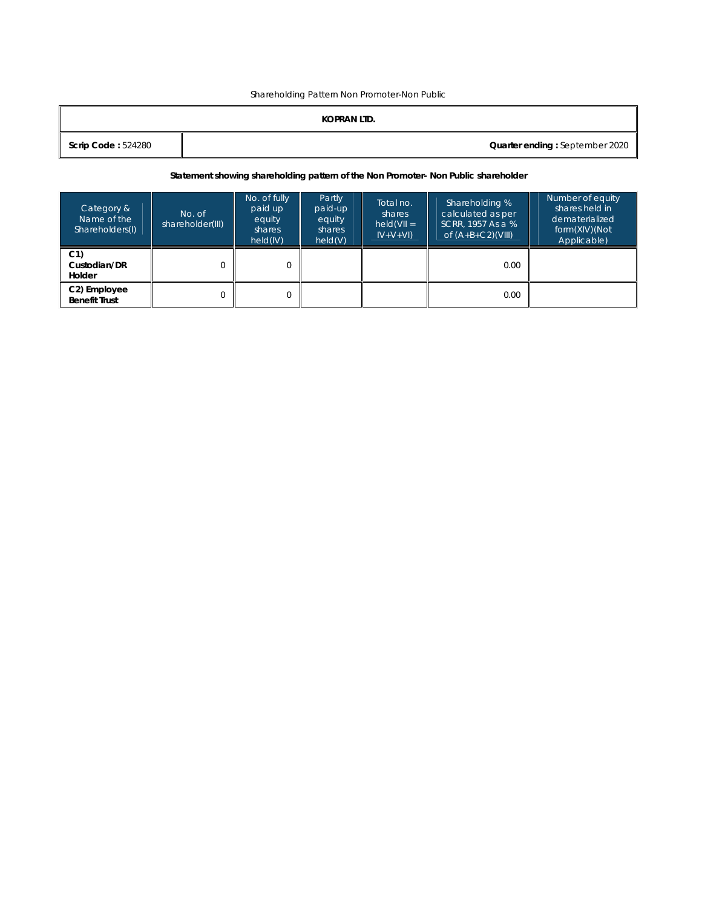Shareholding Pattern Non Promoter-Non Public

## **KOPRAN LTD.**

| <b>Scrip Code: 524280</b> |
|---------------------------|
|---------------------------|

### **Statement showing shareholding pattern of the Non Promoter- Non Public shareholder**

| Category &<br>Name of the<br>Shareholders(I)      | No. of<br>shareholder(III) | No. of fully<br>paid up<br>equity<br>shares<br>held(IV) | Partly<br>paid-up<br>equity<br>shares<br>held(V) | Total no.<br>shares<br>$held(VII =$<br>$ V+V+V $ | Shareholding %<br>calculated as per<br>SCRR. 1957 As a %<br>of $(A+B+C2)$ (VIII) | Number of equity<br>shares held in<br>dematerialized<br>form(XIV)(Not<br>Applicable) |
|---------------------------------------------------|----------------------------|---------------------------------------------------------|--------------------------------------------------|--------------------------------------------------|----------------------------------------------------------------------------------|--------------------------------------------------------------------------------------|
| C <sub>1</sub><br>Custodian/DR<br>Holder          |                            |                                                         |                                                  |                                                  | 0.00                                                                             |                                                                                      |
| C <sub>2</sub> ) Employee<br><b>Benefit Trust</b> |                            |                                                         |                                                  |                                                  | 0.00                                                                             |                                                                                      |